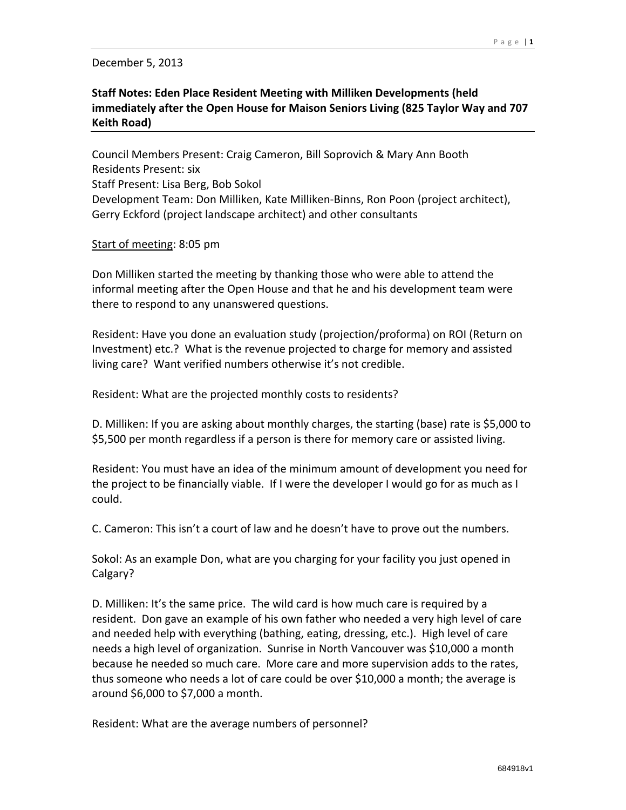## December 5, 2013

## **Staff Notes: Eden Place Resident Meeting with Milliken Developments (held immediately after the Open House for Maison Seniors Living (825 Taylor Way and 707 Keith Road)**

Council Members Present: Craig Cameron, Bill Soprovich & Mary Ann Booth Residents Present: six Staff Present: Lisa Berg, Bob Sokol Development Team: Don Milliken, Kate Milliken‐Binns, Ron Poon (project architect), Gerry Eckford (project landscape architect) and other consultants

## Start of meeting: 8:05 pm

Don Milliken started the meeting by thanking those who were able to attend the informal meeting after the Open House and that he and his development team were there to respond to any unanswered questions.

Resident: Have you done an evaluation study (projection/proforma) on ROI (Return on Investment) etc.? What is the revenue projected to charge for memory and assisted living care? Want verified numbers otherwise it's not credible.

Resident: What are the projected monthly costs to residents?

D. Milliken: If you are asking about monthly charges, the starting (base) rate is \$5,000 to \$5,500 per month regardless if a person is there for memory care or assisted living.

Resident: You must have an idea of the minimum amount of development you need for the project to be financially viable. If I were the developer I would go for as much as I could.

C. Cameron: This isn't a court of law and he doesn't have to prove out the numbers.

Sokol: As an example Don, what are you charging for your facility you just opened in Calgary?

D. Milliken: It's the same price. The wild card is how much care is required by a resident. Don gave an example of his own father who needed a very high level of care and needed help with everything (bathing, eating, dressing, etc.). High level of care needs a high level of organization. Sunrise in North Vancouver was \$10,000 a month because he needed so much care. More care and more supervision adds to the rates, thus someone who needs a lot of care could be over \$10,000 a month; the average is around \$6,000 to \$7,000 a month.

Resident: What are the average numbers of personnel?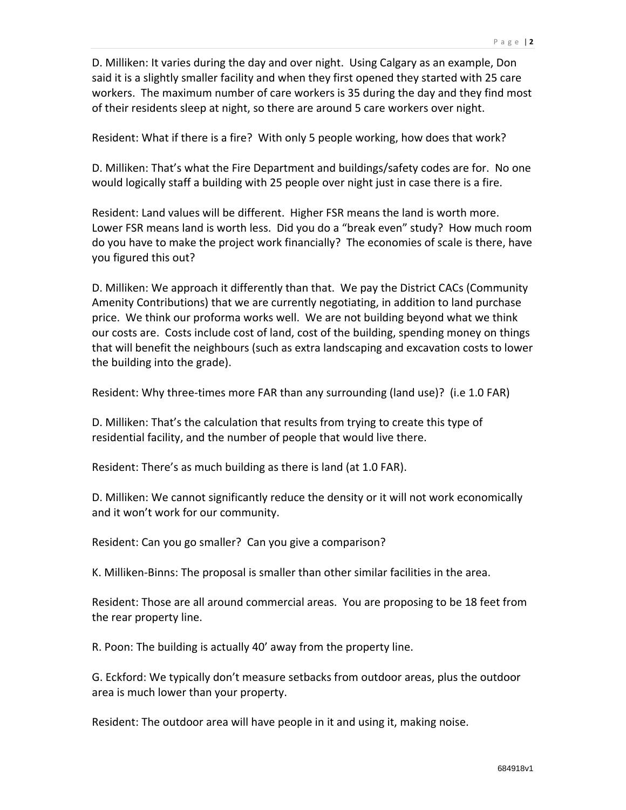D. Milliken: It varies during the day and over night. Using Calgary as an example, Don said it is a slightly smaller facility and when they first opened they started with 25 care workers. The maximum number of care workers is 35 during the day and they find most of their residents sleep at night, so there are around 5 care workers over night.

Resident: What if there is a fire? With only 5 people working, how does that work?

D. Milliken: That's what the Fire Department and buildings/safety codes are for. No one would logically staff a building with 25 people over night just in case there is a fire.

Resident: Land values will be different. Higher FSR means the land is worth more. Lower FSR means land is worth less. Did you do a "break even" study? How much room do you have to make the project work financially? The economies of scale is there, have you figured this out?

D. Milliken: We approach it differently than that. We pay the District CACs (Community Amenity Contributions) that we are currently negotiating, in addition to land purchase price. We think our proforma works well. We are not building beyond what we think our costs are. Costs include cost of land, cost of the building, spending money on things that will benefit the neighbours (such as extra landscaping and excavation costs to lower the building into the grade).

Resident: Why three‐times more FAR than any surrounding (land use)? (i.e 1.0 FAR)

D. Milliken: That's the calculation that results from trying to create this type of residential facility, and the number of people that would live there.

Resident: There's as much building as there is land (at 1.0 FAR).

D. Milliken: We cannot significantly reduce the density or it will not work economically and it won't work for our community.

Resident: Can you go smaller? Can you give a comparison?

K. Milliken‐Binns: The proposal is smaller than other similar facilities in the area.

Resident: Those are all around commercial areas. You are proposing to be 18 feet from the rear property line.

R. Poon: The building is actually 40' away from the property line.

G. Eckford: We typically don't measure setbacks from outdoor areas, plus the outdoor area is much lower than your property.

Resident: The outdoor area will have people in it and using it, making noise.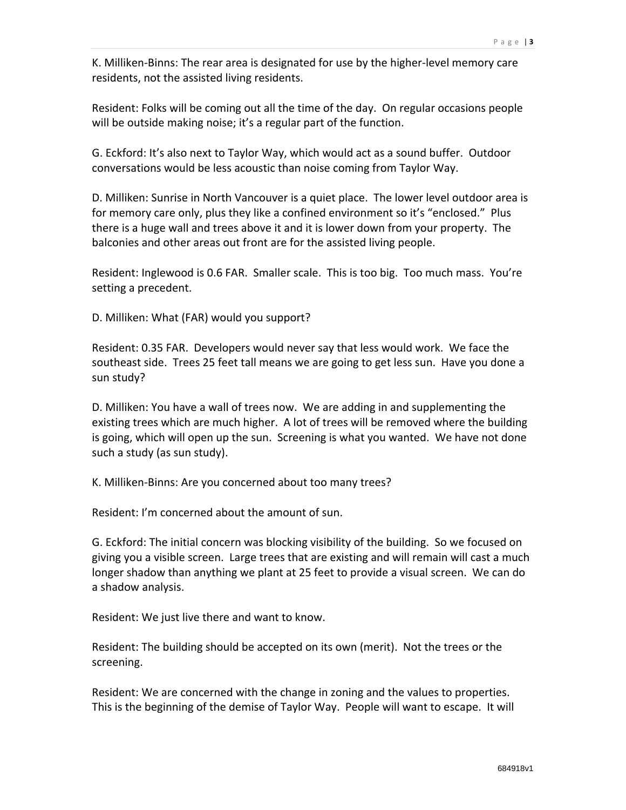K. Milliken‐Binns: The rear area is designated for use by the higher‐level memory care residents, not the assisted living residents.

Resident: Folks will be coming out all the time of the day. On regular occasions people will be outside making noise; it's a regular part of the function.

G. Eckford: It's also next to Taylor Way, which would act as a sound buffer. Outdoor conversations would be less acoustic than noise coming from Taylor Way.

D. Milliken: Sunrise in North Vancouver is a quiet place. The lower level outdoor area is for memory care only, plus they like a confined environment so it's "enclosed." Plus there is a huge wall and trees above it and it is lower down from your property. The balconies and other areas out front are for the assisted living people.

Resident: Inglewood is 0.6 FAR. Smaller scale. This is too big. Too much mass. You're setting a precedent.

D. Milliken: What (FAR) would you support?

Resident: 0.35 FAR. Developers would never say that less would work. We face the southeast side. Trees 25 feet tall means we are going to get less sun. Have you done a sun study?

D. Milliken: You have a wall of trees now. We are adding in and supplementing the existing trees which are much higher. A lot of trees will be removed where the building is going, which will open up the sun. Screening is what you wanted. We have not done such a study (as sun study).

K. Milliken‐Binns: Are you concerned about too many trees?

Resident: I'm concerned about the amount of sun.

G. Eckford: The initial concern was blocking visibility of the building. So we focused on giving you a visible screen. Large trees that are existing and will remain will cast a much longer shadow than anything we plant at 25 feet to provide a visual screen. We can do a shadow analysis.

Resident: We just live there and want to know.

Resident: The building should be accepted on its own (merit). Not the trees or the screening.

Resident: We are concerned with the change in zoning and the values to properties. This is the beginning of the demise of Taylor Way. People will want to escape. It will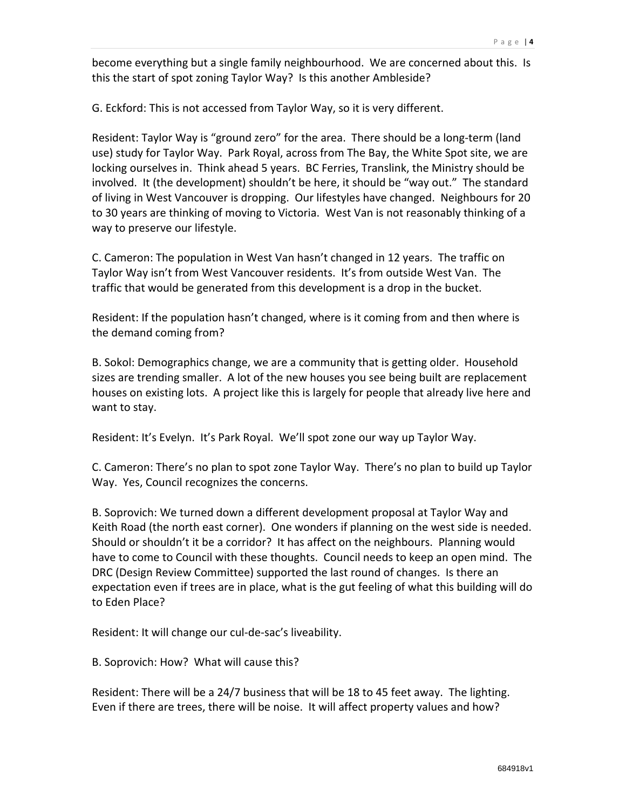become everything but a single family neighbourhood. We are concerned about this. Is this the start of spot zoning Taylor Way? Is this another Ambleside?

G. Eckford: This is not accessed from Taylor Way, so it is very different.

Resident: Taylor Way is "ground zero" for the area. There should be a long‐term (land use) study for Taylor Way. Park Royal, across from The Bay, the White Spot site, we are locking ourselves in. Think ahead 5 years. BC Ferries, Translink, the Ministry should be involved. It (the development) shouldn't be here, it should be "way out." The standard of living in West Vancouver is dropping. Our lifestyles have changed. Neighbours for 20 to 30 years are thinking of moving to Victoria. West Van is not reasonably thinking of a way to preserve our lifestyle.

C. Cameron: The population in West Van hasn't changed in 12 years. The traffic on Taylor Way isn't from West Vancouver residents. It's from outside West Van. The traffic that would be generated from this development is a drop in the bucket.

Resident: If the population hasn't changed, where is it coming from and then where is the demand coming from?

B. Sokol: Demographics change, we are a community that is getting older. Household sizes are trending smaller. A lot of the new houses you see being built are replacement houses on existing lots. A project like this is largely for people that already live here and want to stay.

Resident: It's Evelyn. It's Park Royal. We'll spot zone our way up Taylor Way.

C. Cameron: There's no plan to spot zone Taylor Way. There's no plan to build up Taylor Way. Yes, Council recognizes the concerns.

B. Soprovich: We turned down a different development proposal at Taylor Way and Keith Road (the north east corner). One wonders if planning on the west side is needed. Should or shouldn't it be a corridor? It has affect on the neighbours. Planning would have to come to Council with these thoughts. Council needs to keep an open mind. The DRC (Design Review Committee) supported the last round of changes. Is there an expectation even if trees are in place, what is the gut feeling of what this building will do to Eden Place?

Resident: It will change our cul‐de‐sac's liveability.

B. Soprovich: How? What will cause this?

Resident: There will be a 24/7 business that will be 18 to 45 feet away. The lighting. Even if there are trees, there will be noise. It will affect property values and how?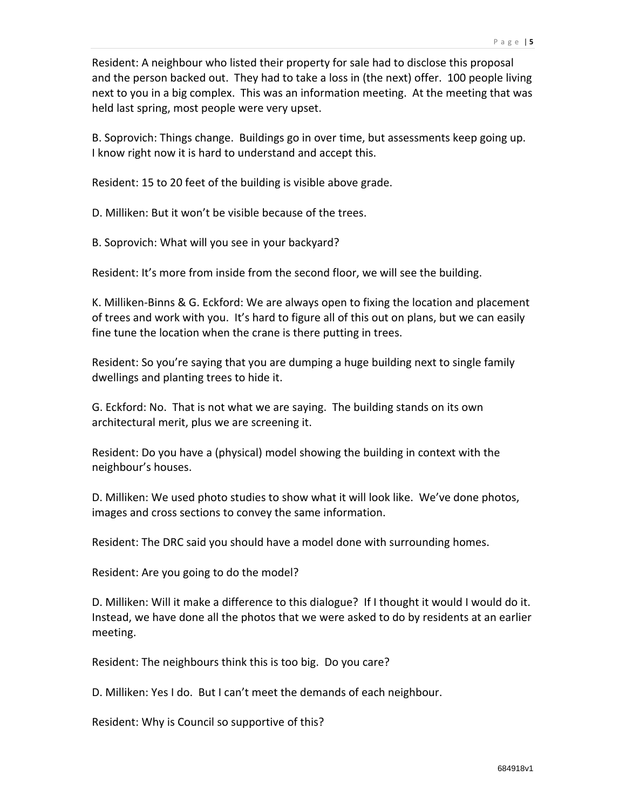Resident: A neighbour who listed their property for sale had to disclose this proposal and the person backed out. They had to take a loss in (the next) offer. 100 people living next to you in a big complex. This was an information meeting. At the meeting that was held last spring, most people were very upset.

B. Soprovich: Things change. Buildings go in over time, but assessments keep going up. I know right now it is hard to understand and accept this.

Resident: 15 to 20 feet of the building is visible above grade.

D. Milliken: But it won't be visible because of the trees.

B. Soprovich: What will you see in your backyard?

Resident: It's more from inside from the second floor, we will see the building.

K. Milliken‐Binns & G. Eckford: We are always open to fixing the location and placement of trees and work with you. It's hard to figure all of this out on plans, but we can easily fine tune the location when the crane is there putting in trees.

Resident: So you're saying that you are dumping a huge building next to single family dwellings and planting trees to hide it.

G. Eckford: No. That is not what we are saying. The building stands on its own architectural merit, plus we are screening it.

Resident: Do you have a (physical) model showing the building in context with the neighbour's houses.

D. Milliken: We used photo studies to show what it will look like. We've done photos, images and cross sections to convey the same information.

Resident: The DRC said you should have a model done with surrounding homes.

Resident: Are you going to do the model?

D. Milliken: Will it make a difference to this dialogue? If I thought it would I would do it. Instead, we have done all the photos that we were asked to do by residents at an earlier meeting.

Resident: The neighbours think this is too big. Do you care?

D. Milliken: Yes I do. But I can't meet the demands of each neighbour.

Resident: Why is Council so supportive of this?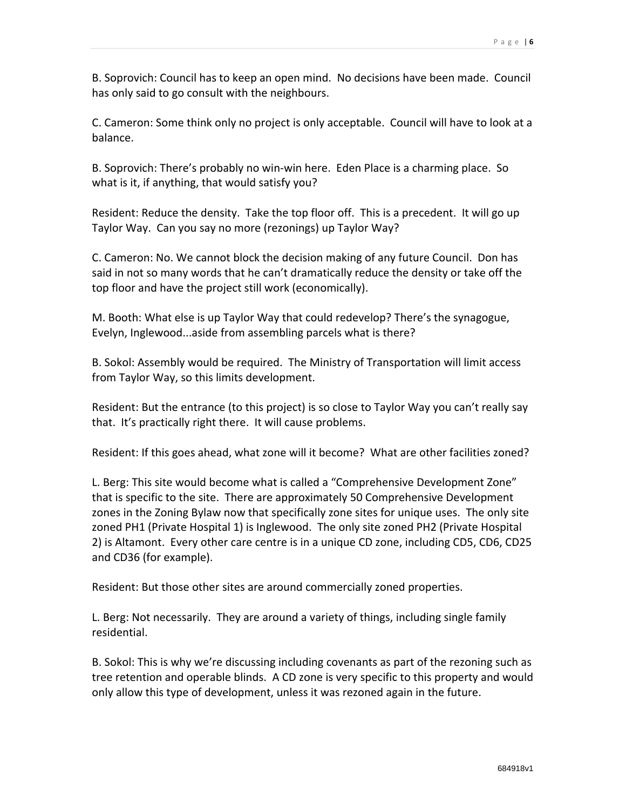B. Soprovich: Council has to keep an open mind. No decisions have been made. Council has only said to go consult with the neighbours.

C. Cameron: Some think only no project is only acceptable. Council will have to look at a balance.

B. Soprovich: There's probably no win‐win here. Eden Place is a charming place. So what is it, if anything, that would satisfy you?

Resident: Reduce the density. Take the top floor off. This is a precedent. It will go up Taylor Way. Can you say no more (rezonings) up Taylor Way?

C. Cameron: No. We cannot block the decision making of any future Council. Don has said in not so many words that he can't dramatically reduce the density or take off the top floor and have the project still work (economically).

M. Booth: What else is up Taylor Way that could redevelop? There's the synagogue, Evelyn, Inglewood...aside from assembling parcels what is there?

B. Sokol: Assembly would be required. The Ministry of Transportation will limit access from Taylor Way, so this limits development.

Resident: But the entrance (to this project) is so close to Taylor Way you can't really say that. It's practically right there. It will cause problems.

Resident: If this goes ahead, what zone will it become? What are other facilities zoned?

L. Berg: This site would become what is called a "Comprehensive Development Zone" that is specific to the site. There are approximately 50 Comprehensive Development zones in the Zoning Bylaw now that specifically zone sites for unique uses. The only site zoned PH1 (Private Hospital 1) is Inglewood. The only site zoned PH2 (Private Hospital 2) is Altamont. Every other care centre is in a unique CD zone, including CD5, CD6, CD25 and CD36 (for example).

Resident: But those other sites are around commercially zoned properties.

L. Berg: Not necessarily. They are around a variety of things, including single family residential.

B. Sokol: This is why we're discussing including covenants as part of the rezoning such as tree retention and operable blinds. A CD zone is very specific to this property and would only allow this type of development, unless it was rezoned again in the future.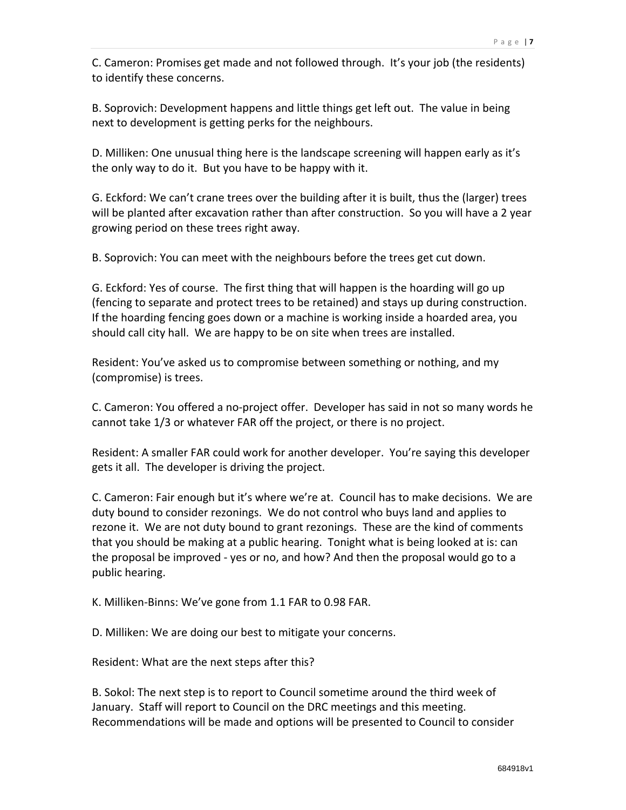C. Cameron: Promises get made and not followed through. It's your job (the residents) to identify these concerns.

B. Soprovich: Development happens and little things get left out. The value in being next to development is getting perks for the neighbours.

D. Milliken: One unusual thing here is the landscape screening will happen early as it's the only way to do it. But you have to be happy with it.

G. Eckford: We can't crane trees over the building after it is built, thus the (larger) trees will be planted after excavation rather than after construction. So you will have a 2 year growing period on these trees right away.

B. Soprovich: You can meet with the neighbours before the trees get cut down.

G. Eckford: Yes of course. The first thing that will happen is the hoarding will go up (fencing to separate and protect trees to be retained) and stays up during construction. If the hoarding fencing goes down or a machine is working inside a hoarded area, you should call city hall. We are happy to be on site when trees are installed.

Resident: You've asked us to compromise between something or nothing, and my (compromise) is trees.

C. Cameron: You offered a no‐project offer. Developer has said in not so many words he cannot take 1/3 or whatever FAR off the project, or there is no project.

Resident: A smaller FAR could work for another developer. You're saying this developer gets it all. The developer is driving the project.

C. Cameron: Fair enough but it's where we're at. Council has to make decisions. We are duty bound to consider rezonings. We do not control who buys land and applies to rezone it. We are not duty bound to grant rezonings. These are the kind of comments that you should be making at a public hearing. Tonight what is being looked at is: can the proposal be improved ‐ yes or no, and how? And then the proposal would go to a public hearing.

K. Milliken‐Binns: We've gone from 1.1 FAR to 0.98 FAR.

D. Milliken: We are doing our best to mitigate your concerns.

Resident: What are the next steps after this?

B. Sokol: The next step is to report to Council sometime around the third week of January. Staff will report to Council on the DRC meetings and this meeting. Recommendations will be made and options will be presented to Council to consider